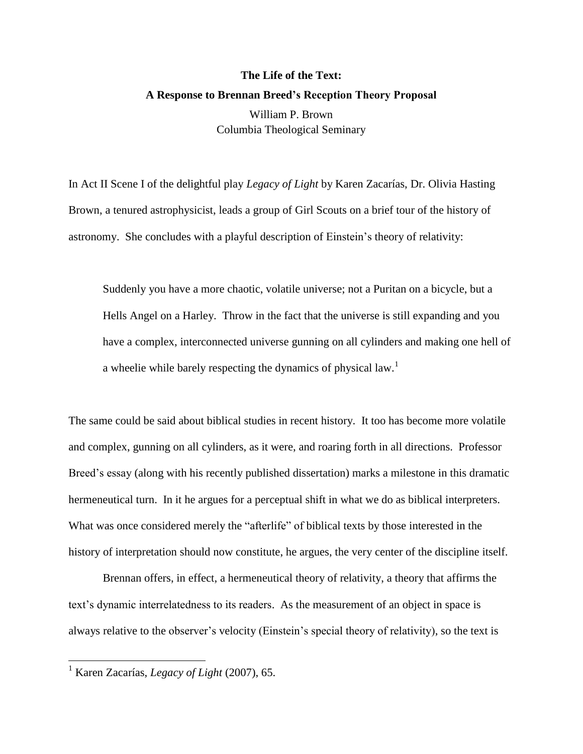## **The Life of the Text: A Response to Brennan Breed's Reception Theory Proposal** William P. Brown Columbia Theological Seminary

In Act II Scene I of the delightful play *Legacy of Light* by Karen Zacarías, Dr. Olivia Hasting Brown, a tenured astrophysicist, leads a group of Girl Scouts on a brief tour of the history of astronomy. She concludes with a playful description of Einstein's theory of relativity:

Suddenly you have a more chaotic, volatile universe; not a Puritan on a bicycle, but a Hells Angel on a Harley. Throw in the fact that the universe is still expanding and you have a complex, interconnected universe gunning on all cylinders and making one hell of a wheelie while barely respecting the dynamics of physical law.<sup>1</sup>

The same could be said about biblical studies in recent history. It too has become more volatile and complex, gunning on all cylinders, as it were, and roaring forth in all directions. Professor Breed's essay (along with his recently published dissertation) marks a milestone in this dramatic hermeneutical turn. In it he argues for a perceptual shift in what we do as biblical interpreters. What was once considered merely the "afterlife" of biblical texts by those interested in the history of interpretation should now constitute, he argues, the very center of the discipline itself.

Brennan offers, in effect, a hermeneutical theory of relativity, a theory that affirms the text's dynamic interrelatedness to its readers. As the measurement of an object in space is always relative to the observer's velocity (Einstein's special theory of relativity), so the text is

 $\overline{a}$ 

<sup>1</sup> Karen Zacarías, *Legacy of Light* (2007), 65.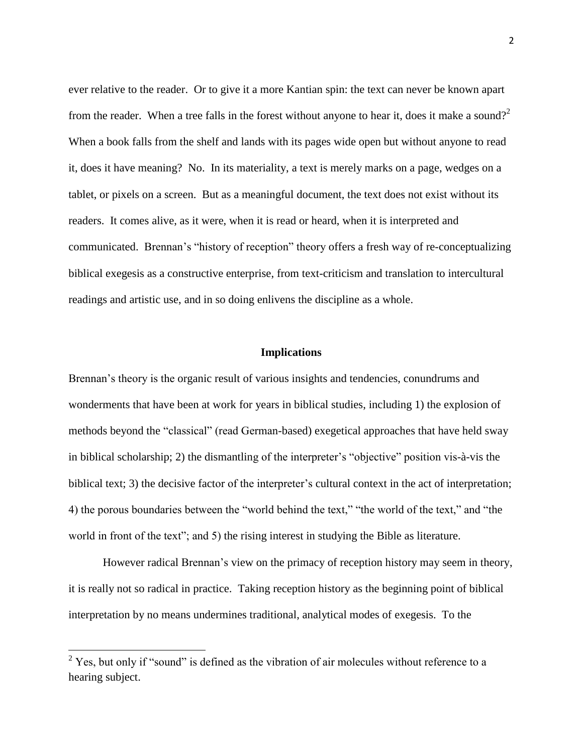ever relative to the reader. Or to give it a more Kantian spin: the text can never be known apart from the reader. When a tree falls in the forest without anyone to hear it, does it make a sound?<sup>2</sup> When a book falls from the shelf and lands with its pages wide open but without anyone to read it, does it have meaning? No. In its materiality, a text is merely marks on a page, wedges on a tablet, or pixels on a screen. But as a meaningful document, the text does not exist without its readers. It comes alive, as it were, when it is read or heard, when it is interpreted and communicated. Brennan's "history of reception" theory offers a fresh way of re-conceptualizing biblical exegesis as a constructive enterprise, from text-criticism and translation to intercultural readings and artistic use, and in so doing enlivens the discipline as a whole.

## **Implications**

Brennan's theory is the organic result of various insights and tendencies, conundrums and wonderments that have been at work for years in biblical studies, including 1) the explosion of methods beyond the "classical" (read German-based) exegetical approaches that have held sway in biblical scholarship; 2) the dismantling of the interpreter's "objective" position vis-à-vis the biblical text; 3) the decisive factor of the interpreter's cultural context in the act of interpretation; 4) the porous boundaries between the "world behind the text," "the world of the text," and "the world in front of the text"; and 5) the rising interest in studying the Bible as literature.

However radical Brennan's view on the primacy of reception history may seem in theory, it is really not so radical in practice. Taking reception history as the beginning point of biblical interpretation by no means undermines traditional, analytical modes of exegesis. To the

 $\overline{\phantom{a}}$ 

 $2$  Yes, but only if "sound" is defined as the vibration of air molecules without reference to a hearing subject.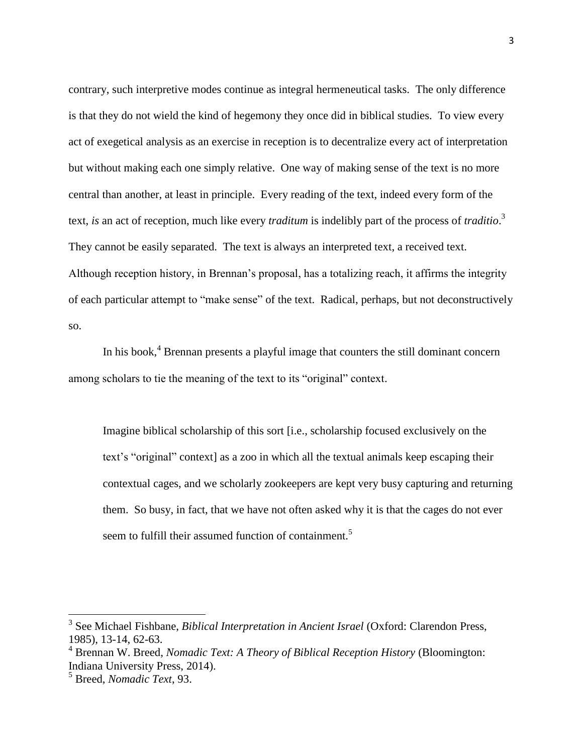contrary, such interpretive modes continue as integral hermeneutical tasks. The only difference is that they do not wield the kind of hegemony they once did in biblical studies. To view every act of exegetical analysis as an exercise in reception is to decentralize every act of interpretation but without making each one simply relative. One way of making sense of the text is no more central than another, at least in principle. Every reading of the text, indeed every form of the text, *is* an act of reception, much like every *traditum* is indelibly part of the process of *traditio*. 3 They cannot be easily separated. The text is always an interpreted text, a received text. Although reception history, in Brennan's proposal, has a totalizing reach, it affirms the integrity of each particular attempt to "make sense" of the text. Radical, perhaps, but not deconstructively so.

In his book,<sup>4</sup> Brennan presents a playful image that counters the still dominant concern among scholars to tie the meaning of the text to its "original" context.

Imagine biblical scholarship of this sort [i.e., scholarship focused exclusively on the text's "original" context] as a zoo in which all the textual animals keep escaping their contextual cages, and we scholarly zookeepers are kept very busy capturing and returning them. So busy, in fact, that we have not often asked why it is that the cages do not ever seem to fulfill their assumed function of containment.<sup>5</sup>

 3 See Michael Fishbane, *Biblical Interpretation in Ancient Israel* (Oxford: Clarendon Press, 1985), 13-14, 62-63.

<sup>4</sup> Brennan W. Breed, *Nomadic Text: A Theory of Biblical Reception History* (Bloomington: Indiana University Press, 2014).

<sup>5</sup> Breed, *Nomadic Text*, 93.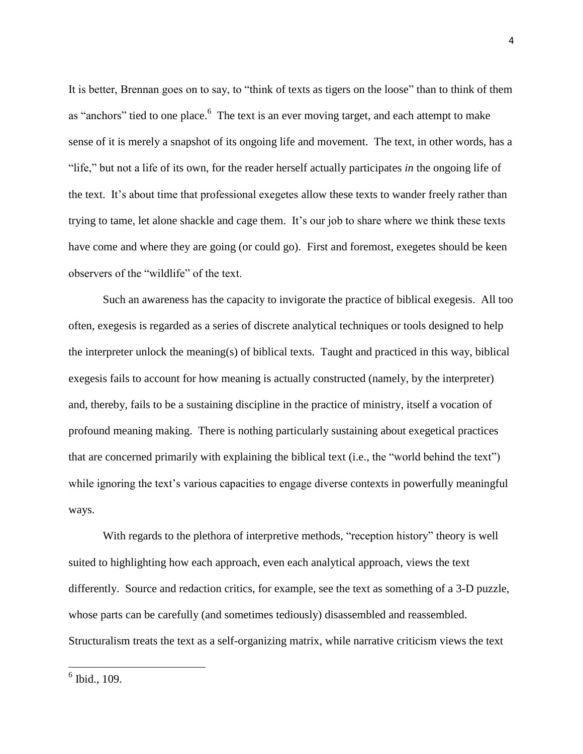It is better, Brennan goes on to say, to "think of texts as tigers on the loose" than to think of them as "anchors" tied to one place.<sup>6</sup> The text is an ever moving target, and each attempt to make sense of it is merely a snapshot of its ongoing life and movement. The text, in other words, has a "life," but not a life of its own, for the reader herself actually participates *in* the ongoing life of the text. It's about time that professional exegetes allow these texts to wander freely rather than trying to tame, let alone shackle and cage them. It's our job to share where we think these texts have come and where they are going (or could go). First and foremost, exegetes should be keen observers of the "wildlife" of the text.

Such an awareness has the capacity to invigorate the practice of biblical exegesis. All too often, exegesis is regarded as a series of discrete analytical techniques or tools designed to help the interpreter unlock the meaning(s) of biblical texts. Taught and practiced in this way, biblical exegesis fails to account for how meaning is actually constructed (namely, by the interpreter) and, thereby, fails to be a sustaining discipline in the practice of ministry, itself a vocation of profound meaning making. There is nothing particularly sustaining about exegetical practices that are concerned primarily with explaining the biblical text (i.e., the "world behind the text") while ignoring the text's various capacities to engage diverse contexts in powerfully meaningful ways.

With regards to the plethora of interpretive methods, "reception history" theory is well suited to highlighting how each approach, even each analytical approach, views the text differently. Source and redaction critics, for example, see the text as something of a 3-D puzzle, whose parts can be carefully (and sometimes tediously) disassembled and reassembled. Structuralism treats the text as a self-organizing matrix, while narrative criticism views the text

6 Ibid., 109.

 $\overline{\phantom{a}}$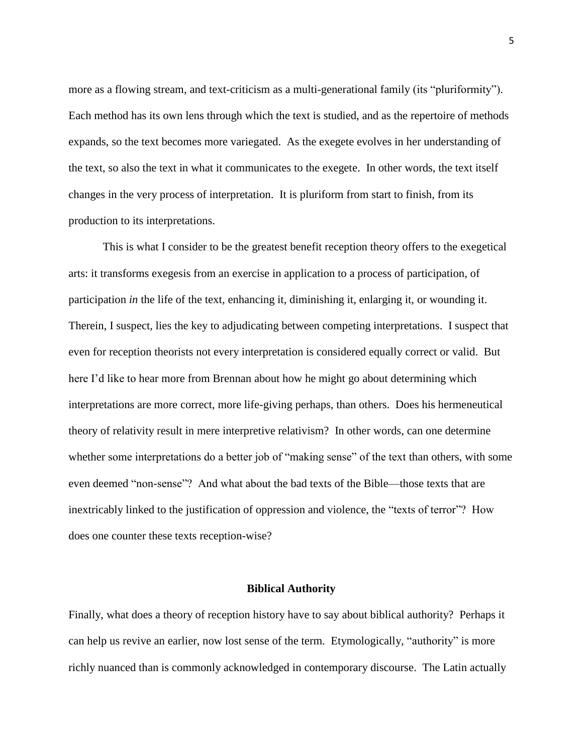more as a flowing stream, and text-criticism as a multi-generational family (its "pluriformity"). Each method has its own lens through which the text is studied, and as the repertoire of methods expands, so the text becomes more variegated. As the exegete evolves in her understanding of the text, so also the text in what it communicates to the exegete. In other words, the text itself changes in the very process of interpretation. It is pluriform from start to finish, from its production to its interpretations.

This is what I consider to be the greatest benefit reception theory offers to the exegetical arts: it transforms exegesis from an exercise in application to a process of participation, of participation *in* the life of the text, enhancing it, diminishing it, enlarging it, or wounding it. Therein, I suspect, lies the key to adjudicating between competing interpretations. I suspect that even for reception theorists not every interpretation is considered equally correct or valid. But here I'd like to hear more from Brennan about how he might go about determining which interpretations are more correct, more life-giving perhaps, than others. Does his hermeneutical theory of relativity result in mere interpretive relativism? In other words, can one determine whether some interpretations do a better job of "making sense" of the text than others, with some even deemed "non-sense"? And what about the bad texts of the Bible—those texts that are inextricably linked to the justification of oppression and violence, the "texts of terror"? How does one counter these texts reception-wise?

## **Biblical Authority**

Finally, what does a theory of reception history have to say about biblical authority? Perhaps it can help us revive an earlier, now lost sense of the term. Etymologically, "authority" is more richly nuanced than is commonly acknowledged in contemporary discourse. The Latin actually